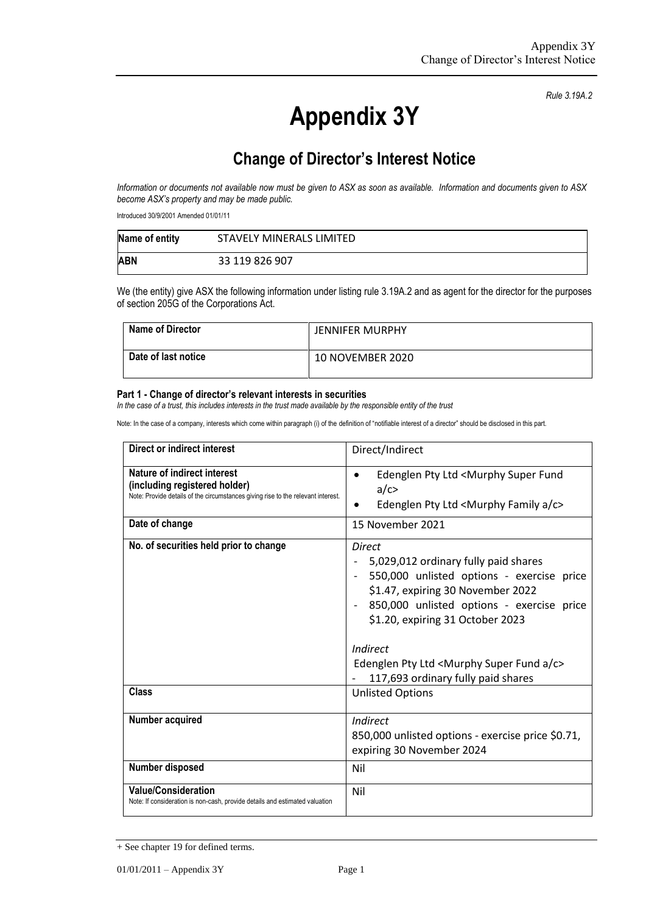**Appendix 3Y**

*Rule 3.19A.2*

## **Change of Director's Interest Notice**

*Information or documents not available now must be given to ASX as soon as available. Information and documents given to ASX become ASX's property and may be made public.*

Introduced 30/9/2001 Amended 01/01/11

| Name of entity | STAVELY MINERALS LIMITED |
|----------------|--------------------------|
| <b>ABN</b>     | 33 119 826 907           |

We (the entity) give ASX the following information under listing rule 3.19A.2 and as agent for the director for the purposes of section 205G of the Corporations Act.

| <b>Name of Director</b> | <b>JENNIFER MURPHY</b> |
|-------------------------|------------------------|
| Date of last notice     | 10 NOVEMBER 2020       |

## **Part 1 - Change of director's relevant interests in securities**

*In the case of a trust, this includes interests in the trust made available by the responsible entity of the trust*

Note: In the case of a company, interests which come within paragraph (i) of the definition of "notifiable interest of a director" should be disclosed in this part.

| Direct or indirect interest                                                                                                                      | Direct/Indirect                                                                                                                                                                                                                                                                                                                              |  |
|--------------------------------------------------------------------------------------------------------------------------------------------------|----------------------------------------------------------------------------------------------------------------------------------------------------------------------------------------------------------------------------------------------------------------------------------------------------------------------------------------------|--|
| Nature of indirect interest<br>(including registered holder)<br>Note: Provide details of the circumstances giving rise to the relevant interest. | Edenglen Pty Ltd <murphy fund<br="" super="">a/c<br/>Edenglen Pty Ltd <murphy a="" c="" family=""></murphy></murphy>                                                                                                                                                                                                                         |  |
| Date of change                                                                                                                                   | 15 November 2021                                                                                                                                                                                                                                                                                                                             |  |
| No. of securities held prior to change                                                                                                           | <b>Direct</b><br>5,029,012 ordinary fully paid shares<br>550,000 unlisted options - exercise price<br>\$1.47, expiring 30 November 2022<br>850,000 unlisted options - exercise price<br>\$1.20, expiring 31 October 2023<br>Indirect<br>Edenglen Pty Ltd <murphy a="" c="" fund="" super=""><br/>117,693 ordinary fully paid shares</murphy> |  |
| Class                                                                                                                                            | <b>Unlisted Options</b>                                                                                                                                                                                                                                                                                                                      |  |
| Number acquired                                                                                                                                  | Indirect<br>850,000 unlisted options - exercise price \$0.71,<br>expiring 30 November 2024                                                                                                                                                                                                                                                   |  |
| Number disposed                                                                                                                                  | Nil                                                                                                                                                                                                                                                                                                                                          |  |
| <b>Value/Consideration</b><br>Note: If consideration is non-cash, provide details and estimated valuation                                        | Nil                                                                                                                                                                                                                                                                                                                                          |  |

<sup>+</sup> See chapter 19 for defined terms.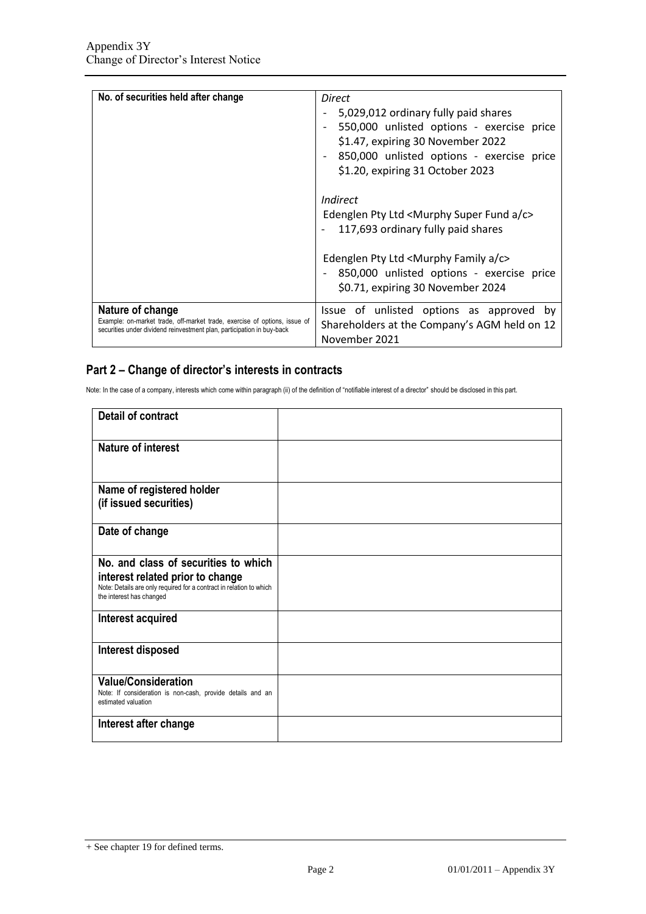| No. of securities held after change                                       | <b>Direct</b><br>5,029,012 ordinary fully paid shares<br>550,000 unlisted options - exercise price<br>\$1.47, expiring 30 November 2022<br>850,000 unlisted options - exercise price<br>\$1.20, expiring 31 October 2023<br>Indirect<br>Edenglen Pty Ltd <murphy a="" c="" fund="" super=""><br/>117,693 ordinary fully paid shares<br/>Edenglen Pty Ltd <murphy a="" c="" family=""><br/>850,000 unlisted options - exercise price<br/>\$0.71, expiring 30 November 2024</murphy></murphy> |
|---------------------------------------------------------------------------|---------------------------------------------------------------------------------------------------------------------------------------------------------------------------------------------------------------------------------------------------------------------------------------------------------------------------------------------------------------------------------------------------------------------------------------------------------------------------------------------|
| Nature of change                                                          | Issue of unlisted options as approved by                                                                                                                                                                                                                                                                                                                                                                                                                                                    |
| Example: on-market trade, off-market trade, exercise of options, issue of | Shareholders at the Company's AGM held on 12                                                                                                                                                                                                                                                                                                                                                                                                                                                |
| securities under dividend reinvestment plan, participation in buy-back    | November 2021                                                                                                                                                                                                                                                                                                                                                                                                                                                                               |

## **Part 2 – Change of director's interests in contracts**

Note: In the case of a company, interests which come within paragraph (ii) of the definition of "notifiable interest of a director" should be disclosed in this part.

| <b>Detail of contract</b>                                                                                                           |  |
|-------------------------------------------------------------------------------------------------------------------------------------|--|
| <b>Nature of interest</b>                                                                                                           |  |
| Name of registered holder                                                                                                           |  |
| (if issued securities)                                                                                                              |  |
| Date of change                                                                                                                      |  |
| No. and class of securities to which                                                                                                |  |
| interest related prior to change<br>Note: Details are only required for a contract in relation to which<br>the interest has changed |  |
| Interest acquired                                                                                                                   |  |
| Interest disposed                                                                                                                   |  |
| <b>Value/Consideration</b><br>Note: If consideration is non-cash, provide details and an<br>estimated valuation                     |  |
| Interest after change                                                                                                               |  |

<sup>+</sup> See chapter 19 for defined terms.